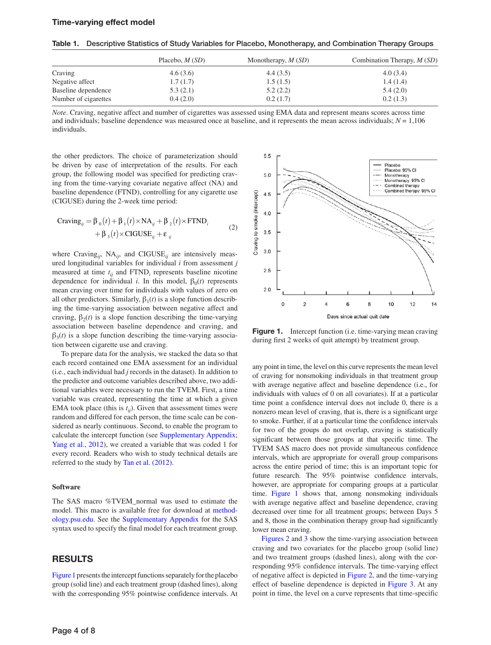### Time-varying effect model

Table 1. Descriptive Statistics of Study Variables for Placebo, Monotherapy, and Combination Therapy Groups

|                      | Placebo, $M(SD)$ | Monotherapy, $M(SD)$ | Combination Therapy, $M(SD)$ |
|----------------------|------------------|----------------------|------------------------------|
| Craving              | 4.6(3.6)         | 4.4(3.5)             | 4.0(3.4)                     |
| Negative affect      | 1.7(1.7)         | 1.5(1.5)             | 1.4(1.4)                     |
| Baseline dependence  | 5.3(2.1)         | 5.2(2.2)             | 5.4(2.0)                     |
| Number of cigarettes | 0.4(2.0)         | 0.2(1.7)             | 0.2(1.3)                     |

*Note*. Craving, negative affect and number of cigarettes was assessed using EMA data and represent means scores across time and individuals; baseline dependence was measured once at baseline, and it represents the mean across individuals;  $N = 1,106$ individuals.

the other predictors. The choice of parameterization should be driven by ease of interpretation of the results. For each group, the following model was specified for predicting craving from the time-varying covariate negative affect (NA) and baseline dependence (FTND), controlling for any cigarette use (CIGUSE) during the 2-week time period:

Crawing<sub>ij</sub> = 
$$
\beta_0(t) + \beta_1(t) \times NA_{ij} + \beta_2(t) \times \text{FTND}_i
$$
  
+  $\beta_3(t) \times \text{CIGUSE}_{ij} + \varepsilon_{ij}$  (2)

where Craving<sub>ij</sub>, NA<sub>ij</sub>, and CIGUSE<sub>ij</sub> are intensively measured longitudinal variables for individual *i* from assessment *j* measured at time  $t_{ij}$  and  $FTND_i$  represents baseline nicotine dependence for individual *i*. In this model,  $\beta_0(t)$  represents mean craving over time for individuals with values of zero on all other predictors. Similarly,  $\beta_1(t)$  is a slope function describing the time-varying association between negative affect and craving,  $\beta_2(t)$  is a slope function describing the time-varying association between baseline dependence and craving, and  $\beta_3(t)$  is a slope function describing the time-varying association between cigarette use and craving.

To prepare data for the analysis, we stacked the data so that each record contained one EMA assessment for an individual (i.e., each individual had *j* records in the dataset). In addition to the predictor and outcome variables described above, two additional variables were necessary to run the TVEM. First, a time variable was created, representing the time at which a given EMA took place (this is  $t_{ij}$ ). Given that assessment times were random and differed for each person, the time scale can be considered as nearly continuous. Second, to enable the program to calculate the intercept function (see [Supplementary Appendix;](http://ntr.oxfordjournals.org/lookup/suppl/doi:10.1093/ntr/ntt128/-/DC1) [Yang et al., 2012\)](#page-7-0), we created a variable that was coded 1 for every record. Readers who wish to study technical details are referred to the study by [Tan et al. \(2012\).](#page-7-1)

### **Software**

The SAS macro %TVEM\_normal was used to estimate the model. This macro is available free for download at [method](http://methodology.psu.edu)[ology.psu.edu](http://methodology.psu.edu). See the [Supplementary Appendix](http://ntr.oxfordjournals.org/lookup/suppl/doi:10.1093/ntr/ntt128/-/DC1) for the SAS syntax used to specify the final model for each treatment group.

## **RESULTS**

[Figure 1](#page-3-0) presents the intercept functions separately for the placebo group (solid line) and each treatment group (dashed lines), along with the corresponding 95% pointwise confidence intervals. At



<span id="page-3-0"></span>Figure 1. Intercept function (i.e. time-varying mean craving during first 2 weeks of quit attempt) by treatment group.

any point in time, the level on this curve represents the mean level of craving for nonsmoking individuals in that treatment group with average negative affect and baseline dependence (i.e., for individuals with values of 0 on all covariates). If at a particular time point a confidence interval does not include 0, there is a nonzero mean level of craving, that is, there is a significant urge to smoke. Further, if at a particular time the confidence intervals for two of the groups do not overlap, craving is statistically significant between those groups at that specific time. The TVEM SAS macro does not provide simultaneous confidence intervals, which are appropriate for overall group comparisons across the entire period of time; this is an important topic for future research. The 95% pointwise confidence intervals, however, are appropriate for comparing groups at a particular time. Figure 1 shows that, among nonsmoking individuals with average negative affect and baseline dependence, craving decreased over time for all treatment groups; between Days 5 and 8, those in the combination therapy group had significantly lower mean craving.

[Figures 2](#page-4-0) and [3](#page-4-1) show the time-varying association between craving and two covariates for the placebo group (solid line) and two treatment groups (dashed lines), along with the corresponding 95% confidence intervals. The time-varying effect of negative affect is depicted in [Figure 2,](#page-4-0) and the time-varying effect of baseline dependence is depicted in [Figure 3.](#page-4-1) At any point in time, the level on a curve represents that time-specific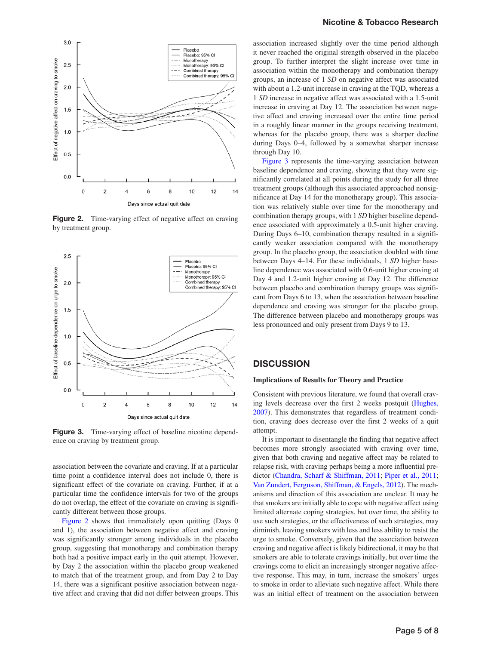

<span id="page-4-0"></span>Figure 2. Time-varying effect of negative affect on craving by treatment group.



<span id="page-4-1"></span>Figure 3. Time-varying effect of baseline nicotine dependence on craving by treatment group.

association between the covariate and craving. If at a particular time point a confidence interval does not include 0, there is significant effect of the covariate on craving. Further, if at a particular time the confidence intervals for two of the groups do not overlap, the effect of the covariate on craving is significantly different between those groups.

Figure 2 shows that immediately upon quitting (Days 0 and 1), the association between negative affect and craving was significantly stronger among individuals in the placebo group, suggesting that monotherapy and combination therapy both had a positive impact early in the quit attempt. However, by Day 2 the association within the placebo group weakened to match that of the treatment group, and from Day 2 to Day 14, there was a significant positive association between negative affect and craving that did not differ between groups. This

### Nicotine & Tobacco Research

association increased slightly over the time period although it never reached the original strength observed in the placebo group. To further interpret the slight increase over time in association within the monotherapy and combination therapy groups, an increase of 1 *SD* on negative affect was associated with about a 1.2-unit increase in craving at the TQD, whereas a 1 *SD* increase in negative affect was associated with a 1.5-unit increase in craving at Day 12. The association between negative affect and craving increased over the entire time period in a roughly linear manner in the groups receiving treatment, whereas for the placebo group, there was a sharper decline during Days 0–4, followed by a somewhat sharper increase through Day 10.

Figure 3 represents the time-varying association between baseline dependence and craving, showing that they were significantly correlated at all points during the study for all three treatment groups (although this associated approached nonsignificance at Day 14 for the monotherapy group). This association was relatively stable over time for the monotherapy and combination therapy groups, with 1 *SD* higher baseline dependence associated with approximately a 0.5-unit higher craving. During Days 6–10, combination therapy resulted in a significantly weaker association compared with the monotherapy group. In the placebo group, the association doubled with time between Days 4–14. For these individuals, 1 *SD* higher baseline dependence was associated with 0.6-unit higher craving at Day 4 and 1.2-unit higher craving at Day 12. The difference between placebo and combination therapy groups was significant from Days 6 to 13, when the association between baseline dependence and craving was stronger for the placebo group. The difference between placebo and monotherapy groups was less pronounced and only present from Days 9 to 13.

## **DISCUSSION**

#### **Implications of Results for Theory and Practice**

Consistent with previous literature, we found that overall craving levels decrease over the first 2 weeks postquit [\(Hughes,](#page-6-0)  [2007\)](#page-6-0). This demonstrates that regardless of treatment condition, craving does decrease over the first 2 weeks of a quit attempt.

It is important to disentangle the finding that negative affect becomes more strongly associated with craving over time, given that both craving and negative affect may be related to relapse risk, with craving perhaps being a more influential predictor ([Chandra, Scharf & Shiffman, 2011](#page-6-1); [Piper et al., 2011](#page-6-2); [Van Zundert, Ferguson, Shiffman, & Engels, 2012](#page-7-2)). The mechanisms and direction of this association are unclear. It may be that smokers are initially able to cope with negative affect using limited alternate coping strategies, but over time, the ability to use such strategies, or the effectiveness of such strategies, may diminish, leaving smokers with less and less ability to resist the urge to smoke. Conversely, given that the association between craving and negative affect is likely bidirectional, it may be that smokers are able to tolerate cravings initially, but over time the cravings come to elicit an increasingly stronger negative affective response. This may, in turn, increase the smokers' urges to smoke in order to alleviate such negative affect. While there was an initial effect of treatment on the association between